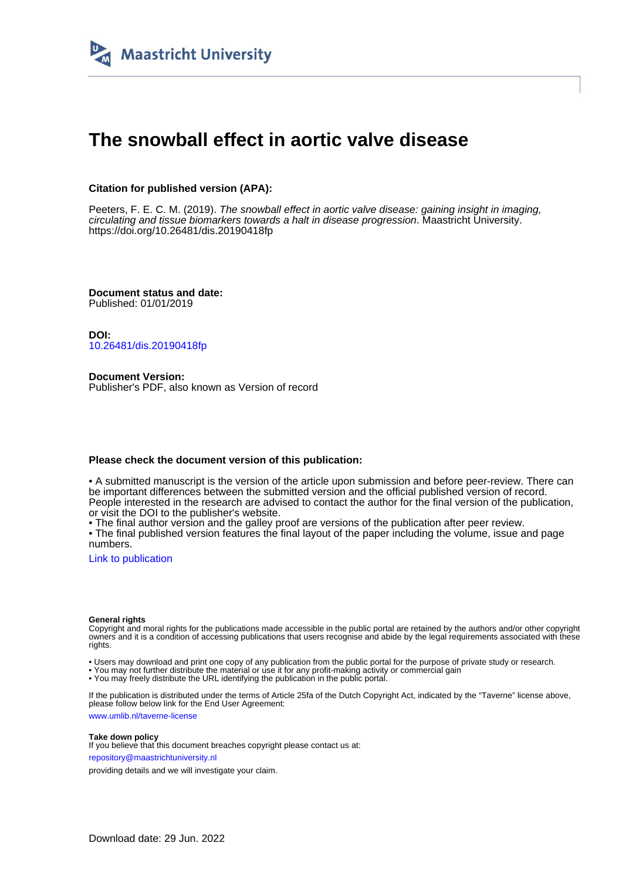

# **The snowball effect in aortic valve disease**

### **Citation for published version (APA):**

Peeters, F. E. C. M. (2019). The snowball effect in aortic valve disease: gaining insight in imaging, circulating and tissue biomarkers towards a halt in disease progression. Maastricht University. <https://doi.org/10.26481/dis.20190418fp>

**Document status and date:** Published: 01/01/2019

**DOI:** [10.26481/dis.20190418fp](https://doi.org/10.26481/dis.20190418fp)

**Document Version:** Publisher's PDF, also known as Version of record

### **Please check the document version of this publication:**

• A submitted manuscript is the version of the article upon submission and before peer-review. There can be important differences between the submitted version and the official published version of record. People interested in the research are advised to contact the author for the final version of the publication, or visit the DOI to the publisher's website.

• The final author version and the galley proof are versions of the publication after peer review.

• The final published version features the final layout of the paper including the volume, issue and page numbers.

[Link to publication](https://cris.maastrichtuniversity.nl/en/publications/c8ee0d6a-bc05-4f73-aa7b-a69734c33f1f)

#### **General rights**

Copyright and moral rights for the publications made accessible in the public portal are retained by the authors and/or other copyright owners and it is a condition of accessing publications that users recognise and abide by the legal requirements associated with these rights.

• Users may download and print one copy of any publication from the public portal for the purpose of private study or research.

• You may not further distribute the material or use it for any profit-making activity or commercial gain

• You may freely distribute the URL identifying the publication in the public portal.

If the publication is distributed under the terms of Article 25fa of the Dutch Copyright Act, indicated by the "Taverne" license above, please follow below link for the End User Agreement:

www.umlib.nl/taverne-license

#### **Take down policy**

If you believe that this document breaches copyright please contact us at: repository@maastrichtuniversity.nl

providing details and we will investigate your claim.